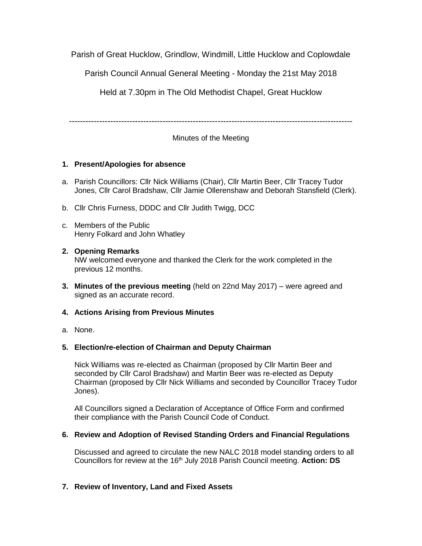Parish of Great Hucklow, Grindlow, Windmill, Little Hucklow and Coplowdale

Parish Council Annual General Meeting - Monday the 21st May 2018

Held at 7.30pm in The Old Methodist Chapel, Great Hucklow

-------------------------------------------------------------------------------------------------------

Minutes of the Meeting

# **1. Present/Apologies for absence**

- a. Parish Councillors: Cllr Nick Williams (Chair), Cllr Martin Beer, Cllr Tracey Tudor Jones, Cllr Carol Bradshaw, Cllr Jamie Ollerenshaw and Deborah Stansfield (Clerk).
- b. Cllr Chris Furness, DDDC and Cllr Judith Twigg, DCC
- c. Members of the Public Henry Folkard and John Whatley

### **2. Opening Remarks** NW welcomed everyone and thanked the Clerk for the work completed in the previous 12 months.

**3. Minutes of the previous meeting** (held on 22nd May 2017) – were agreed and signed as an accurate record.

# **4. Actions Arising from Previous Minutes**

a. None.

# **5. Election/re-election of Chairman and Deputy Chairman**

Nick Williams was re-elected as Chairman (proposed by Cllr Martin Beer and seconded by Cllr Carol Bradshaw) and Martin Beer was re-elected as Deputy Chairman (proposed by Cllr Nick Williams and seconded by Councillor Tracey Tudor Jones).

All Councillors signed a Declaration of Acceptance of Office Form and confirmed their compliance with the Parish Council Code of Conduct.

# **6. Review and Adoption of Revised Standing Orders and Financial Regulations**

Discussed and agreed to circulate the new NALC 2018 model standing orders to all Councillors for review at the 16<sup>th</sup> July 2018 Parish Council meeting. Action: DS

# **7. Review of Inventory, Land and Fixed Assets**